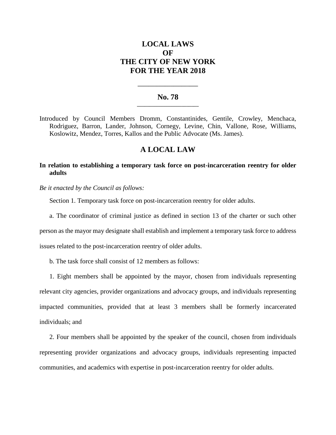# **LOCAL LAWS OF THE CITY OF NEW YORK FOR THE YEAR 2018**

### **No. 78 \_\_\_\_\_\_\_\_\_\_\_\_\_\_\_\_\_\_\_\_\_\_\_\_\_**

**\_\_\_\_\_\_\_\_\_\_\_\_\_\_\_\_\_\_\_\_\_\_**

Introduced by Council Members Dromm, Constantinides, Gentile, Crowley, Menchaca, Rodriguez, Barron, Lander, Johnson, Cornegy, Levine, Chin, Vallone, Rose, Williams, Koslowitz, Mendez, Torres, Kallos and the Public Advocate (Ms. James).

## **A LOCAL LAW**

## **In relation to establishing a temporary task force on post-incarceration reentry for older adults**

*Be it enacted by the Council as follows:*

Section 1. Temporary task force on post-incarceration reentry for older adults.

a. The coordinator of criminal justice as defined in section 13 of the charter or such other person as the mayor may designate shall establish and implement a temporary task force to address issues related to the post-incarceration reentry of older adults.

b. The task force shall consist of 12 members as follows:

1. Eight members shall be appointed by the mayor, chosen from individuals representing relevant city agencies, provider organizations and advocacy groups, and individuals representing impacted communities, provided that at least 3 members shall be formerly incarcerated individuals; and

2. Four members shall be appointed by the speaker of the council, chosen from individuals representing provider organizations and advocacy groups, individuals representing impacted communities, and academics with expertise in post-incarceration reentry for older adults.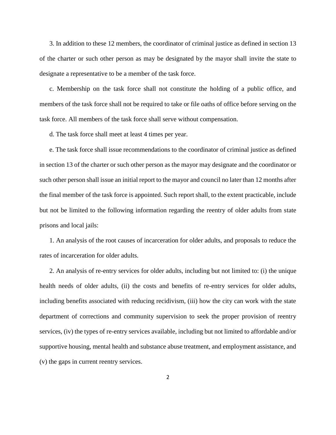3. In addition to these 12 members, the coordinator of criminal justice as defined in section 13 of the charter or such other person as may be designated by the mayor shall invite the state to designate a representative to be a member of the task force.

c. Membership on the task force shall not constitute the holding of a public office, and members of the task force shall not be required to take or file oaths of office before serving on the task force. All members of the task force shall serve without compensation.

d. The task force shall meet at least 4 times per year.

e. The task force shall issue recommendations to the coordinator of criminal justice as defined in section 13 of the charter or such other person as the mayor may designate and the coordinator or such other person shall issue an initial report to the mayor and council no later than 12 months after the final member of the task force is appointed. Such report shall, to the extent practicable, include but not be limited to the following information regarding the reentry of older adults from state prisons and local jails:

1. An analysis of the root causes of incarceration for older adults, and proposals to reduce the rates of incarceration for older adults.

2. An analysis of re-entry services for older adults, including but not limited to: (i) the unique health needs of older adults, (ii) the costs and benefits of re-entry services for older adults, including benefits associated with reducing recidivism, (iii) how the city can work with the state department of corrections and community supervision to seek the proper provision of reentry services, (iv) the types of re-entry services available, including but not limited to affordable and/or supportive housing, mental health and substance abuse treatment, and employment assistance, and (v) the gaps in current reentry services.